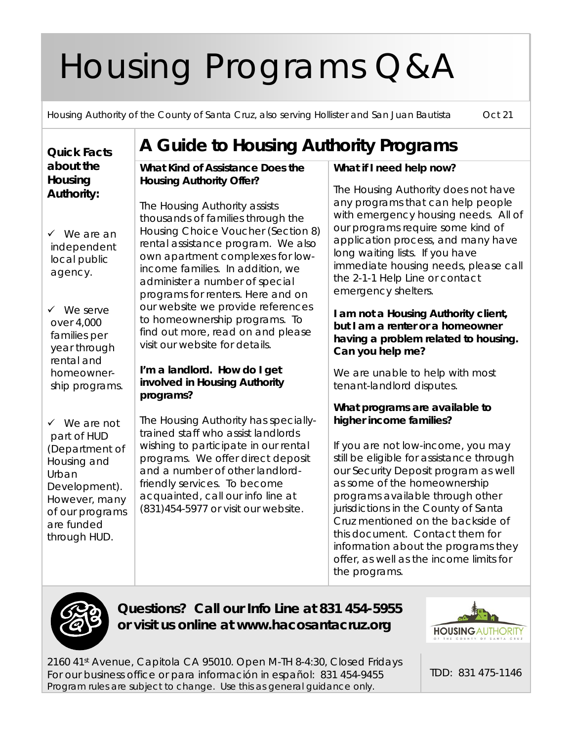# Housing Programs Q&A

Housing Authority of the County of Santa Cruz, also serving Hollister and San Juan Bautista Oct 21

#### **Quick Facts about the Housing Authority:** We are an independent local public agency.  $\checkmark$  We serve over 4,000 families per year through rental and homeownership programs. We are not part of HUD (Department of Housing and Urban Development). However, many of our programs are funded through HUD. **A Guide to Housing Authority Programs What Kind of Assistance Does the Housing Authority Offer?** The Housing Authority assists thousands of families through the Housing Choice Voucher (Section 8) rental assistance program. We also own apartment complexes for lowincome families. In addition, we administer a number of special programs for renters. Here and on our website we provide references to homeownership programs. To find out more, read on and please visit our website for details. **I'm a landlord. How do I get involved in Housing Authority programs?** The Housing Authority has speciallytrained staff who assist landlords wishing to participate in our rental programs. We offer direct deposit and a number of other landlordfriendly services. To become acquainted, call our info line at (831)454-5977 or visit our website.

## **What if I need help now?**

The Housing Authority does not have any programs that can help people with emergency housing needs. All of our programs require some kind of application process, and many have long waiting lists. If you have immediate housing needs, please call the 2-1-1 Help Line or contact emergency shelters.

## **I am not a Housing Authority client, but I am a renter or a homeowner having a problem related to housing. Can you help me?**

We are unable to help with most tenant-landlord disputes.

## **What programs are available to higher income families?**

If you are not low-income, you may still be eligible for assistance through our Security Deposit program as well as some of the homeownership programs available through other jurisdictions in the County of Santa Cruz mentioned on the backside of this document. Contact them for information about the programs they offer, as well as the income limits for the programs.



**Questions? Call our Info Line at 831 454-5955 or visit us online at www.hacosantacruz.org**

2160 41st Avenue, Capitola CA 95010. Open M-TH 8-4:30, Closed Fridays For our business office or para información in español: 831 454-9455 *Program rules are subject to change. Use this as general guidance only.*



TDD: 831 475-1146